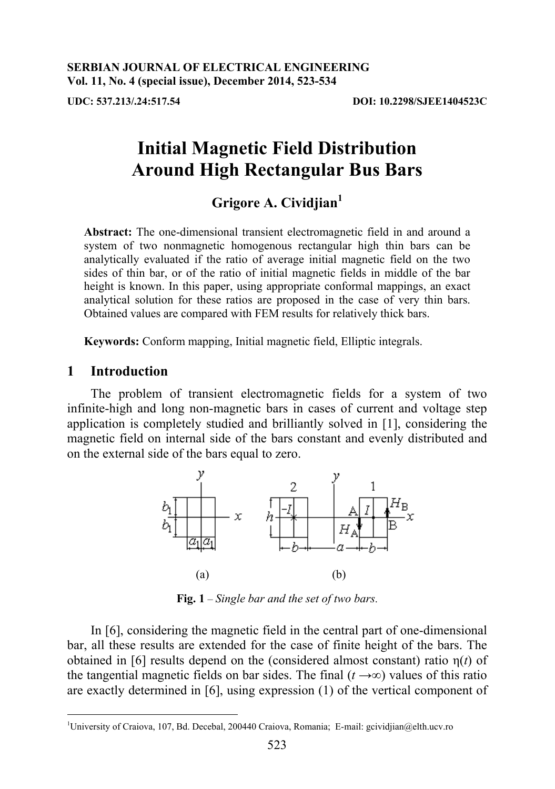# Grigore A. Cividjian<sup>1</sup>

**Abstract:** The one-dimensional transient electromagnetic field in and around a system of two nonmagnetic homogenous rectangular high thin bars can be analytically evaluated if the ratio of average initial magnetic field on the two sides of thin bar, or of the ratio of initial magnetic fields in middle of the bar height is known. In this paper, using appropriate conformal mappings, an exact analytical solution for these ratios are proposed in the case of very thin bars. Obtained values are compared with FEM results for relatively thick bars.

**Keywords:** Conform mapping, Initial magnetic field, Elliptic integrals.

## **1 Introduction**

The problem of transient electromagnetic fields for a system of two infinite-high and long non-magnetic bars in cases of current and voltage step application is completely studied and brilliantly solved in [1], considering the magnetic field on internal side of the bars constant and evenly distributed and on the external side of the bars equal to zero.



**Fig. 1** – *Single bar and the set of two bars*.

In [6], considering the magnetic field in the central part of one-dimensional bar, all these results are extended for the case of finite height of the bars. The obtained in [6] results depend on the (considered almost constant) ratio  $\eta(t)$  of the tangential magnetic fields on bar sides. The final  $(t \rightarrow \infty)$  values of this ratio are exactly determined in [6], using expression (1) of the vertical component of

 $\overline{a}$ 1 University of Craiova, 107, Bd. Decebal, 200440 Craiova, Romania; E-mail: gcividjian@elth.ucv.ro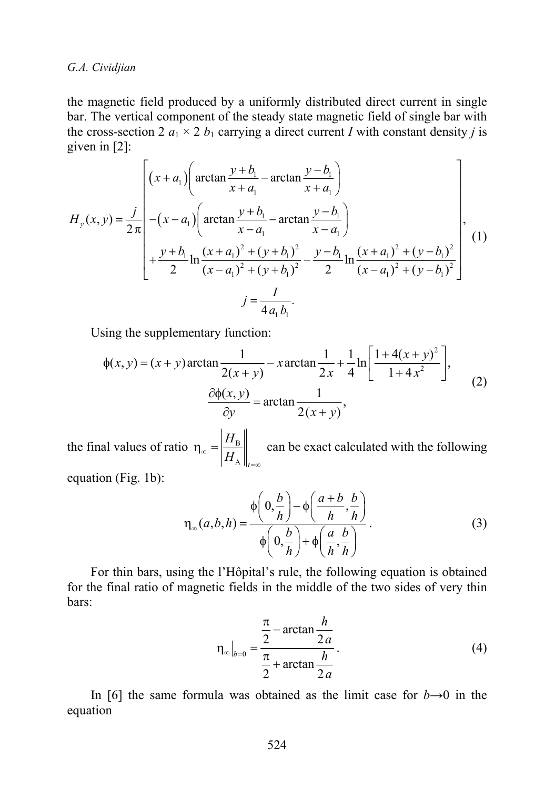*G.A. Cividjian* 

the magnetic field produced by a uniformly distributed direct current in single bar. The vertical component of the steady state magnetic field of single bar with the cross-section 2  $a_1 \times 2 b_1$  carrying a direct current *I* with constant density *j* is given in [2]:

$$
H_{y}(x,y) = \frac{j}{2\pi} \begin{bmatrix} (x+a_{1}) \left( \arctan \frac{y+b_{1}}{x+a_{1}} - \arctan \frac{y-b_{1}}{x+a_{1}} \right) \\ -(x-a_{1}) \left( \arctan \frac{y+b_{1}}{x-a_{1}} - \arctan \frac{y-b_{1}}{x-a_{1}} \right) \\ + \frac{y+b_{1}}{2} \ln \frac{(x+a_{1})^{2} + (y+b_{1})^{2}}{(x-a_{1})^{2} + (y+b_{1})^{2}} - \frac{y-b_{1}}{2} \ln \frac{(x+a_{1})^{2} + (y-b_{1})^{2}}{(x-a_{1})^{2} + (y-b_{1})^{2}} \end{bmatrix},
$$
(1)  

$$
j = \frac{I}{4a_{1}b_{1}}.
$$

Using the supplementary function:

$$
\phi(x, y) = (x + y)\arctan\frac{1}{2(x + y)} - x\arctan\frac{1}{2x} + \frac{1}{4}\ln\left[\frac{1 + 4(x + y)^2}{1 + 4x^2}\right],
$$
  

$$
\frac{\partial \phi(x, y)}{\partial y} = \arctan\frac{1}{2(x + y)},
$$
 (2)

the final values of ratio  $\eta_{\infty} = \frac{H_{\rm B}}{H_{\rm B}}$  $\left\Vert \boldsymbol{\Lambda}\right\Vert _{t}$ *H*  $\mathbb{E}\left[\left. H_{\mathrm{A}}\right|\right|_{t=\infty}$  $\eta_{\infty} = \left| \frac{H_{\text{B}}}{H_{\text{B}}} \right|$  can be exact calculated with the following

equation (Fig. 1b):

$$
\eta_{\infty}(a,b,h) = \frac{\phi\left(0,\frac{b}{h}\right) - \phi\left(\frac{a+b}{h},\frac{b}{h}\right)}{\phi\left(0,\frac{b}{h}\right) + \phi\left(\frac{a}{h},\frac{b}{h}\right)}.
$$
(3)

For thin bars, using the l'Hôpital's rule, the following equation is obtained for the final ratio of magnetic fields in the middle of the two sides of very thin bars:

$$
\eta_{\infty}\Big|_{b=0} = \frac{\frac{\pi}{2} - \arctan\frac{h}{2a}}{\frac{\pi}{2} + \arctan\frac{h}{2a}}.
$$
 (4)

In [6] the same formula was obtained as the limit case for  $b \rightarrow 0$  in the equation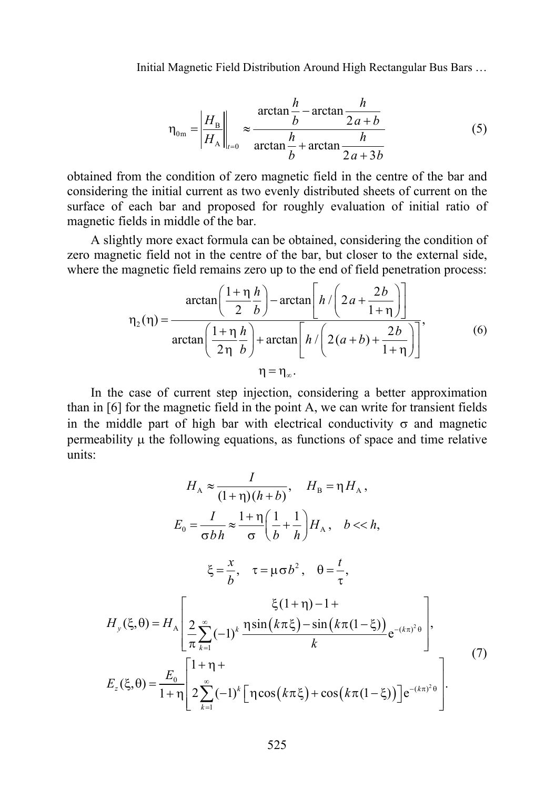$$
\eta_{0m} = \left| \frac{H_B}{H_A} \right|_{t=0} \approx \frac{\arctan \frac{h}{b} - \arctan \frac{h}{2a+b}}{\arctan \frac{h}{b} + \arctan \frac{h}{2a+3b}}
$$
(5)

obtained from the condition of zero magnetic field in the centre of the bar and considering the initial current as two evenly distributed sheets of current on the surface of each bar and proposed for roughly evaluation of initial ratio of magnetic fields in middle of the bar.

A slightly more exact formula can be obtained, considering the condition of zero magnetic field not in the centre of the bar, but closer to the external side, where the magnetic field remains zero up to the end of field penetration process:

$$
\eta_2(\eta) = \frac{\arctan\left(\frac{1+\eta h}{2b}\right) - \arctan\left[h/\left(2a + \frac{2b}{1+\eta}\right)\right]}{\arctan\left(\frac{1+\eta h}{2\eta b}\right) + \arctan\left[h/\left(2(a+b) + \frac{2b}{1+\eta}\right)\right]},\tag{6}
$$

$$
\eta = \eta_\infty.
$$

In the case of current step injection, considering a better approximation than in [6] for the magnetic field in the point A, we can write for transient fields in the middle part of high bar with electrical conductivity  $\sigma$  and magnetic  $permeability$   $\mu$  the following equations, as functions of space and time relative units:

$$
H_{A} \approx \frac{I}{(1+\eta)(h+b)}, \quad H_{B} = \eta H_{A},
$$
\n
$$
E_{0} = \frac{I}{\sigma bh} \approx \frac{1+\eta}{\sigma} \left(\frac{1}{b} + \frac{1}{h}\right) H_{A}, \quad b << h,
$$
\n
$$
\xi = \frac{x}{b}, \quad \tau = \mu \sigma b^{2}, \quad \theta = \frac{t}{\tau},
$$
\n
$$
H_{y}(\xi, \theta) = H_{A} \left[ \frac{2}{\pi} \sum_{k=1}^{\infty} (-1)^{k} \frac{\eta \sin(k\pi \xi) - \sin(k\pi (1-\xi))}{k} e^{-(k\pi)^{2} \theta} \right],
$$
\n
$$
E_{z}(\xi, \theta) = \frac{E_{0}}{1+\eta} \left[ \frac{1+\eta + \eta}{2 \sum_{k=1}^{\infty} (-1)^{k} \left[ \eta \cos(k\pi \xi) + \cos(k\pi (1-\xi)) \right] e^{-(k\pi)^{2} \theta}}{\eta \cos(k\pi \xi) + \eta \cos(k\pi (1-\xi))} \right].
$$
\n(7)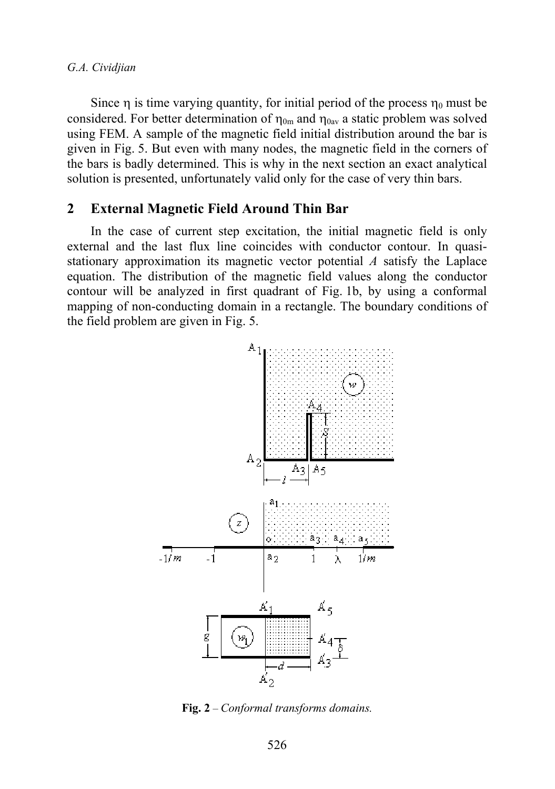Since  $\eta$  is time varying quantity, for initial period of the process  $\eta_0$  must be considered. For better determination of  $\eta_{0m}$  and  $\eta_{0av}$  a static problem was solved using FEM. A sample of the magnetic field initial distribution around the bar is given in Fig. 5. But even with many nodes, the magnetic field in the corners of the bars is badly determined. This is why in the next section an exact analytical solution is presented, unfortunately valid only for the case of very thin bars.

#### **2 External Magnetic Field Around Thin Bar**

In the case of current step excitation, the initial magnetic field is only external and the last flux line coincides with conductor contour. In quasistationary approximation its magnetic vector potential *A* satisfy the Laplace equation. The distribution of the magnetic field values along the conductor contour will be analyzed in first quadrant of Fig. 1b, by using a conformal mapping of non-conducting domain in a rectangle. The boundary conditions of the field problem are given in Fig. 5.



**Fig. 2** – *Conformal transforms domains.*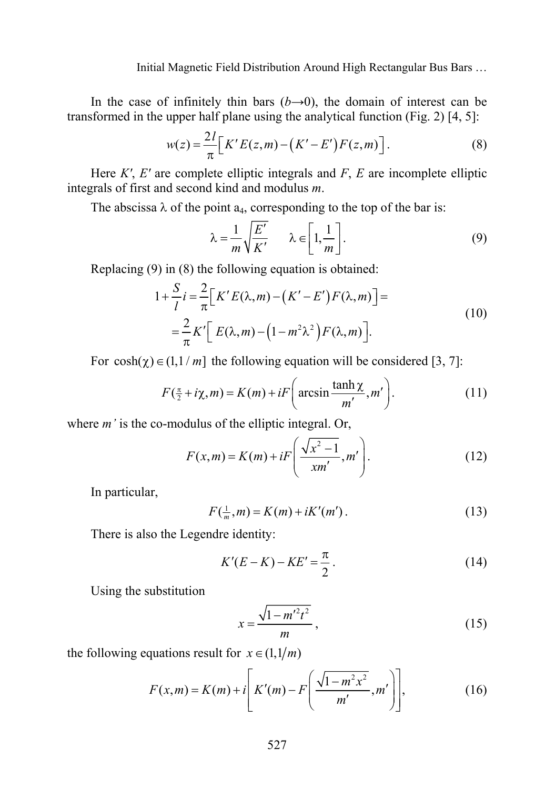In the case of infinitely thin bars  $(b\rightarrow 0)$ , the domain of interest can be transformed in the upper half plane using the analytical function (Fig. 2) [4, 5]:

$$
w(z) = \frac{2l}{\pi} \left[ K' E(z, m) - (K' - E') F(z, m) \right]. \tag{8}
$$

Here *K'*, *E'* are complete elliptic integrals and *F*, *E* are incomplete elliptic integrals of first and second kind and modulus *m*.

The abscissa  $\lambda$  of the point  $a_4$ , corresponding to the top of the bar is:

$$
\lambda = \frac{1}{m} \sqrt{\frac{E'}{K'}} \qquad \lambda \in \left[1, \frac{1}{m}\right].
$$
 (9)

Replacing (9) in (8) the following equation is obtained:

$$
1 + \frac{S}{l}i = \frac{2}{\pi} \Big[ K' E(\lambda, m) - (K' - E') F(\lambda, m) \Big] =
$$
  
= 
$$
\frac{2}{\pi} K' \Big[ E(\lambda, m) - (1 - m^2 \lambda^2) F(\lambda, m) \Big].
$$
 (10)

For  $cosh(\gamma) \in (1,1/m]$  the following equation will be considered [3, 7]:

$$
F(\frac{\pi}{2} + i\chi, m) = K(m) + iF\left(\arcsin\frac{\tanh\chi}{m'}, m'\right).
$$
 (11)

where *m'* is the co-modulus of the elliptic integral. Or,

$$
F(x,m) = K(m) + iF\left(\frac{\sqrt{x^2 - 1}}{xm'}, m'\right).
$$
 (12)

In particular,

$$
F(\frac{1}{m}, m) = K(m) + iK'(m').
$$
 (13)

There is also the Legendre identity:

$$
K'(E - K) - KE' = \frac{\pi}{2}.
$$
 (14)

Using the substitution

$$
x = \frac{\sqrt{1 - m'^2 t^2}}{m},
$$
\n(15)

the following equations result for  $x \in (1, 1/m)$ 

$$
F(x,m) = K(m) + i \left[ K'(m) - F\left(\frac{\sqrt{1 - m^2 x^2}}{m'}, m'\right) \right],
$$
 (16)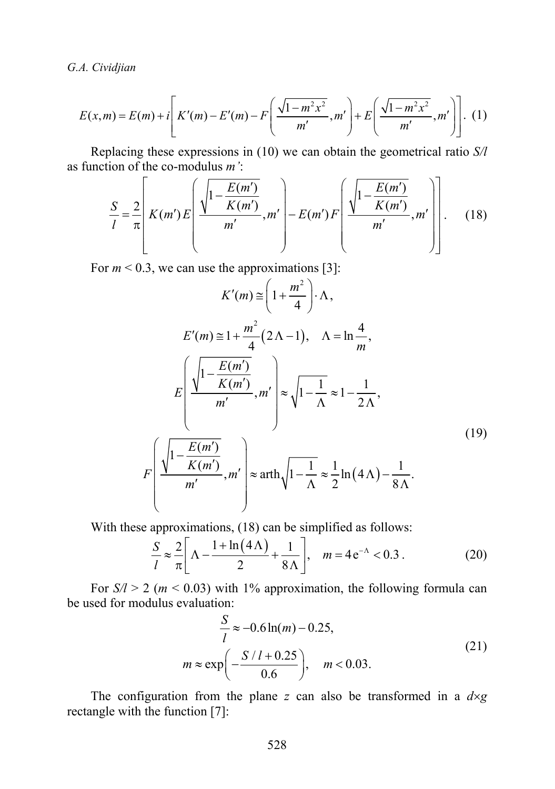*G.A. Cividjian* 

$$
E(x,m) = E(m) + i \left[ K'(m) - E'(m) - F\left(\frac{\sqrt{1 - m^2 x^2}}{m'}, m'\right) + E\left(\frac{\sqrt{1 - m^2 x^2}}{m'}, m'\right) \right].
$$
 (1)

Replacing these expressions in (10) we can obtain the geometrical ratio *S/l* as function of the co-modulus *m'*:

$$
\frac{S}{l} = \frac{2}{\pi} \left[ K(m') E\left(\frac{\sqrt{1 - \frac{E(m')}{K(m')}}}{m'}, m'\right) - E(m') F\left(\frac{\sqrt{1 - \frac{E(m')}{K(m')}}}{m'}, m'\right) \right].
$$
 (18)

For  $m < 0.3$ , we can use the approximations [3]:

$$
K'(m) \approx \left(1 + \frac{m^2}{4}\right) \cdot \Lambda,
$$
  
\n
$$
E'(m) \approx 1 + \frac{m^2}{4} (2\Lambda - 1), \quad \Lambda = \ln \frac{4}{m},
$$
  
\n
$$
E\left(\frac{\sqrt{1 - \frac{E(m')}{K(m')}}{m'}, m'\right) \approx \sqrt{1 - \frac{1}{\Lambda}} \approx 1 - \frac{1}{2\Lambda},
$$
  
\n
$$
F\left(\frac{\sqrt{1 - \frac{E(m')}{K(m')}}{m'}, m'\right) \approx \operatorname{arth}\sqrt{1 - \frac{1}{\Lambda}} \approx \frac{1}{2}\ln(4\Lambda) - \frac{1}{8\Lambda}.
$$
\n(19)

With these approximations, (18) can be simplified as follows:

$$
\frac{S}{l} \approx \frac{2}{\pi} \left[ \Lambda - \frac{1 + \ln(4\Lambda)}{2} + \frac{1}{8\Lambda} \right], \quad m = 4e^{-\Lambda} < 0.3 \,. \tag{20}
$$

For  $S/l > 2$  ( $m < 0.03$ ) with 1% approximation, the following formula can be used for modulus evaluation:

$$
\frac{S}{l} \approx -0.6 \ln(m) - 0.25,
$$
  

$$
m \approx \exp\left(-\frac{S/l + 0.25}{0.6}\right), \quad m < 0.03.
$$
 (21)

The configuration from the plane *z* can also be transformed in a  $d \times g$ rectangle with the function [7]: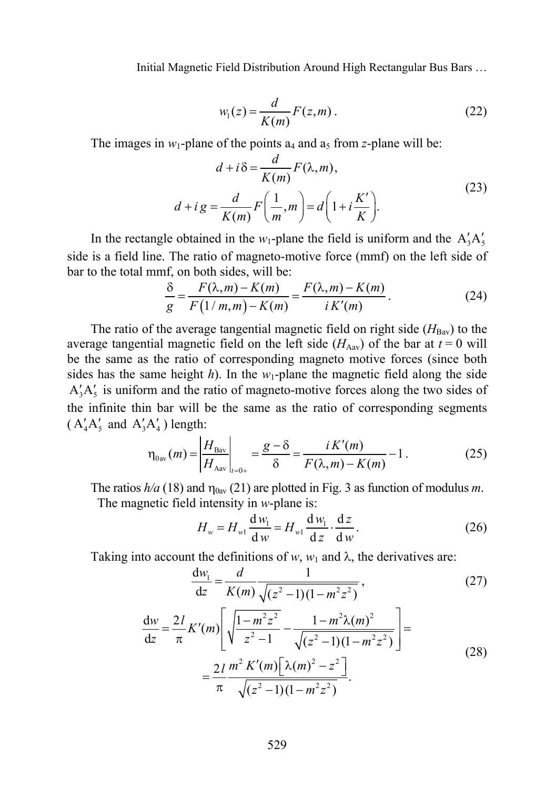$$
w_1(z) = \frac{d}{K(m)} F(z,m) \tag{22}
$$

The images in  $w_1$ -plane of the points  $a_4$  and  $a_5$  from *z*-plane will be:

$$
d + i\delta = \frac{d}{K(m)} F(\lambda, m),
$$
  

$$
d + i g = \frac{d}{K(m)} F\left(\frac{1}{m}, m\right) = d\left(1 + i\frac{K'}{K}\right).
$$
 (23)

In the rectangle obtained in the  $w_1$ -plane the field is uniform and the  $A'_3A'_5$ side is a field line. The ratio of magneto-motive force (mmf) on the left side of bar to the total mmf, on both sides, will be:

$$
\frac{\delta}{g} = \frac{F(\lambda, m) - K(m)}{F(1/m, m) - K(m)} = \frac{F(\lambda, m) - K(m)}{i K'(m)}.
$$
\n(24)

The ratio of the average tangential magnetic field on right side  $(H_{\text{Bav}})$  to the average tangential magnetic field on the left side  $(H_{\text{Aav}})$  of the bar at  $t = 0$  will be the same as the ratio of corresponding magneto motive forces (since both sides has the same height  $h$ ). In the  $w_1$ -plane the magnetic field along the side  $A'_3A'_5$  is uniform and the ratio of magneto-motive forces along the two sides of the infinite thin bar will be the same as the ratio of corresponding segments  $(A'_4A'_5$  and  $A'_3A'_4$  length:

$$
\eta_{0av}(m) = \left| \frac{H_{Bav}}{H_{Aav}} \right|_{t=0+} = \frac{g - \delta}{\delta} = \frac{i K'(m)}{F(\lambda, m) - K(m)} - 1.
$$
 (25)

The ratios  $h/a$  (18) and  $\eta_{0av}$  (21) are plotted in Fig. 3 as function of modulus *m*. The magnetic field intensity in *w*-plane is:

$$
H_w = H_{w1} \frac{\mathrm{d}w_1}{\mathrm{d}w} = H_{w1} \frac{\mathrm{d}w_1}{\mathrm{d}z} \cdot \frac{\mathrm{d}z}{\mathrm{d}w}.
$$
 (26)

Taking into account the definitions of  $w$ ,  $w_1$  and  $\lambda$ , the derivatives are:

$$
\frac{dw_1}{dz} = \frac{d}{K(m)} \frac{1}{\sqrt{(z^2 - 1)(1 - m^2 z^2)}},
$$
\n(27)

$$
\frac{dw}{dz} = \frac{2l}{\pi} K'(m) \left[ \sqrt{\frac{1 - m^2 z^2}{z^2 - 1}} - \frac{1 - m^2 \lambda(m)^2}{\sqrt{(z^2 - 1)(1 - m^2 z^2)}} \right] =
$$
\n
$$
= \frac{2l}{\pi} \frac{m^2 K'(m) \left[ \lambda(m)^2 - z^2 \right]}{\sqrt{(z^2 - 1)(1 - m^2 z^2)}}.
$$
\n(28)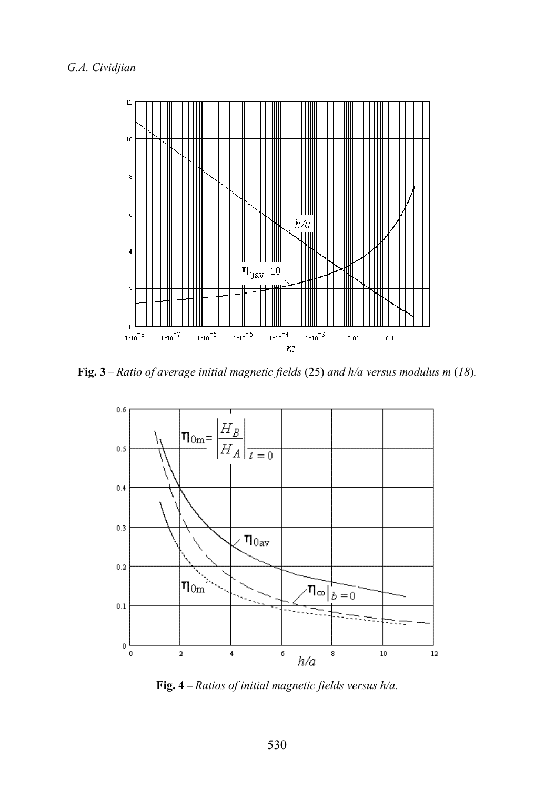

**Fig. 3** – *Ratio of average initial magnetic fields* (25) *and h/a versus modulus m* (*18*)*.* 



**Fig. 4** – *Ratios of initial magnetic fields versus h/a.*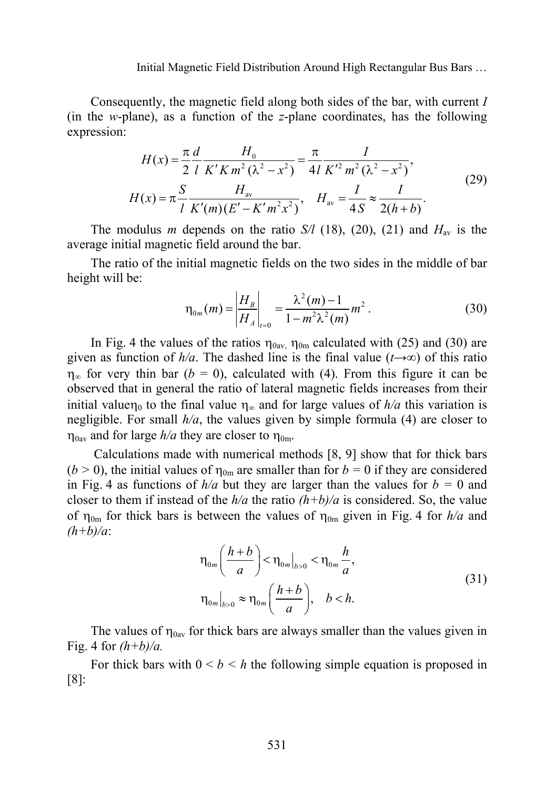Consequently, the magnetic field along both sides of the bar, with current *I* (in the *w*-plane), as a function of the *z*-plane coordinates, has the following expression:

$$
H(x) = \frac{\pi}{2} \frac{d}{l} \frac{H_0}{K'Km^2 (\lambda^2 - x^2)} = \frac{\pi}{4l} \frac{I}{K'^2 m^2 (\lambda^2 - x^2)},
$$
  
\n
$$
H(x) = \pi \frac{S}{l} \frac{H_{av}}{K'(m)(E' - K'm^2 x^2)}, \quad H_{av} = \frac{I}{4S} \approx \frac{I}{2(h+b)}.
$$
\n(29)

The modulus *m* depends on the ratio *S/l* (18), (20), (21) and  $H_{av}$  is the average initial magnetic field around the bar.

The ratio of the initial magnetic fields on the two sides in the middle of bar height will be:

$$
\eta_{0m}(m) = \left| \frac{H_B}{H_A} \right|_{t=0} = \frac{\lambda^2(m) - 1}{1 - m^2 \lambda^2(m)} m^2.
$$
 (30)

In Fig. 4 the values of the ratios  $\eta_{0av}$ ,  $\eta_{0m}$  calculated with (25) and (30) are given as function of  $h/a$ . The dashed line is the final value ( $t\rightarrow\infty$ ) of this ratio  $\eta_{\infty}$  for very thin bar (*b* = 0), calculated with (4). From this figure it can be observed that in general the ratio of lateral magnetic fields increases from their initial valuen<sub>0</sub> to the final value  $\eta_{\infty}$  and for large values of  $h/a$  this variation is negligible. For small *h/a*, the values given by simple formula (4) are closer to  $\eta_{0av}$  and for large  $h/a$  they are closer to  $\eta_{0m}$ .

 Calculations made with numerical methods [8, 9] show that for thick bars ( $b > 0$ ), the initial values of  $\eta_{0m}$  are smaller than for  $b = 0$  if they are considered in Fig. 4 as functions of  $h/a$  but they are larger than the values for  $b = 0$  and closer to them if instead of the  $h/a$  the ratio  $(h+b)/a$  is considered. So, the value of  $\eta_{0m}$  for thick bars is between the values of  $\eta_{0m}$  given in Fig. 4 for  $h/a$  and *(h+b)/a*:

$$
\eta_{0m} \left( \frac{h+b}{a} \right) < \eta_{0m} \big|_{b>0} < \eta_{0m} \frac{h}{a},
$$
\n
$$
\eta_{0m} \big|_{b>0} \approx \eta_{0m} \left( \frac{h+b}{a} \right), \quad b < h. \tag{31}
$$

The values of  $\eta_{0av}$  for thick bars are always smaller than the values given in Fig. 4 for *(h+b)/a.*

For thick bars with  $0 \le b \le h$  the following simple equation is proposed in [8]: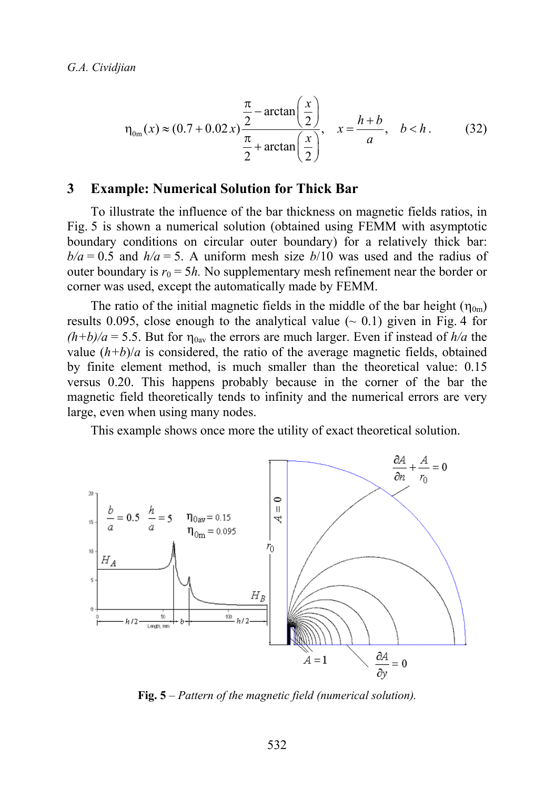$$
\eta_{0m}(x) \approx (0.7 + 0.02x) \frac{\frac{\pi}{2} - \arctan\left(\frac{x}{2}\right)}{\frac{\pi}{2} + \arctan\left(\frac{x}{2}\right)}, \quad x = \frac{h+b}{a}, \quad b < h. \tag{32}
$$

#### **3 Example: Numerical Solution for Thick Bar**

To illustrate the influence of the bar thickness on magnetic fields ratios, in Fig. 5 is shown a numerical solution (obtained using FEMM with asymptotic boundary conditions on circular outer boundary) for a relatively thick bar:  $b/a = 0.5$  and  $h/a = 5$ . A uniform mesh size  $b/10$  was used and the radius of outer boundary is  $r_0 = 5h$ . No supplementary mesh refinement near the border or corner was used, except the automatically made by FEMM.

The ratio of the initial magnetic fields in the middle of the bar height  $(\eta_{0m})$ results 0.095, close enough to the analytical value  $(\sim 0.1)$  given in Fig. 4 for  $(h+b)/a = 5.5$ . But for  $\eta_{0av}$  the errors are much larger. Even if instead of  $h/a$  the value  $(h+b)/a$  is considered, the ratio of the average magnetic fields, obtained by finite element method, is much smaller than the theoretical value: 0.15 versus 0.20. This happens probably because in the corner of the bar the magnetic field theoretically tends to infinity and the numerical errors are very large, even when using many nodes.

This example shows once more the utility of exact theoretical solution.



**Fig. 5** – *Pattern of the magnetic field (numerical solution).*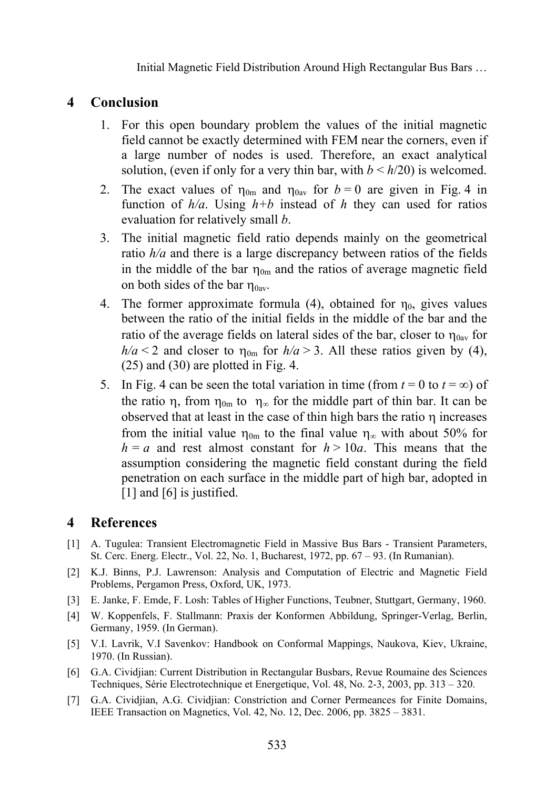# **4 Conclusion**

- 1. For this open boundary problem the values of the initial magnetic field cannot be exactly determined with FEM near the corners, even if a large number of nodes is used. Therefore, an exact analytical solution, (even if only for a very thin bar, with  $b \leq h/20$ ) is welcomed.
- 2. The exact values of  $\eta_{0m}$  and  $\eta_{0av}$  for  $b = 0$  are given in Fig. 4 in function of  $h/a$ . Using  $h+b$  instead of h they can used for ratios evaluation for relatively small *b*.
- 3. The initial magnetic field ratio depends mainly on the geometrical ratio *h/a* and there is a large discrepancy between ratios of the fields in the middle of the bar  $\eta_{0m}$  and the ratios of average magnetic field on both sides of the bar  $\eta_{0av}$ .
- 4. The former approximate formula (4), obtained for  $\eta_0$ , gives values between the ratio of the initial fields in the middle of the bar and the ratio of the average fields on lateral sides of the bar, closer to  $\eta_{0av}$  for  $h/a < 2$  and closer to  $\eta_{0m}$  for  $h/a > 3$ . All these ratios given by (4), (25) and (30) are plotted in Fig. 4.
- 5. In Fig. 4 can be seen the total variation in time (from  $t = 0$  to  $t = \infty$ ) of the ratio  $\eta$ , from  $\eta_{0m}$  to  $\eta_{\infty}$  for the middle part of thin bar. It can be observed that at least in the case of thin high bars the ratio  $\eta$  increases from the initial value  $\eta_{0m}$  to the final value  $\eta_{\infty}$  with about 50% for  $h = a$  and rest almost constant for  $h > 10a$ . This means that the assumption considering the magnetic field constant during the field penetration on each surface in the middle part of high bar, adopted in [1] and [6] is justified.

# **4 References**

- [1] A. Tugulea: Transient Electromagnetic Field in Massive Bus Bars Transient Parameters, St. Cerc. Energ. Electr., Vol. 22, No. 1, Bucharest, 1972, pp. 67 – 93. (In Rumanian).
- [2] K.J. Binns, P.J. Lawrenson: Analysis and Computation of Electric and Magnetic Field Problems, Pergamon Press, Oxford, UK, 1973.
- [3] E. Janke, F. Emde, F. Losh: Tables of Higher Functions, Teubner, Stuttgart, Germany, 1960.
- [4] W. Koppenfels, F. Stallmann: Praxis der Konformen Abbildung, Springer-Verlag, Berlin, Germany, 1959. (In German).
- [5] V.I. Lavrik, V.I Savenkov: Handbook on Conformal Mappings, Naukova, Kiev, Ukraine, 1970. (In Russian).
- [6] G.A. Cividjian: Current Distribution in Rectangular Busbars, Revue Roumaine des Sciences Techniques, Série Electrotechnique et Energetique, Vol. 48, No. 2-3, 2003, pp. 313 – 320.
- [7] G.A. Cividjian, A.G. Cividjian: Constriction and Corner Permeances for Finite Domains, IEEE Transaction on Magnetics, Vol. 42, No. 12, Dec. 2006, pp. 3825 – 3831.